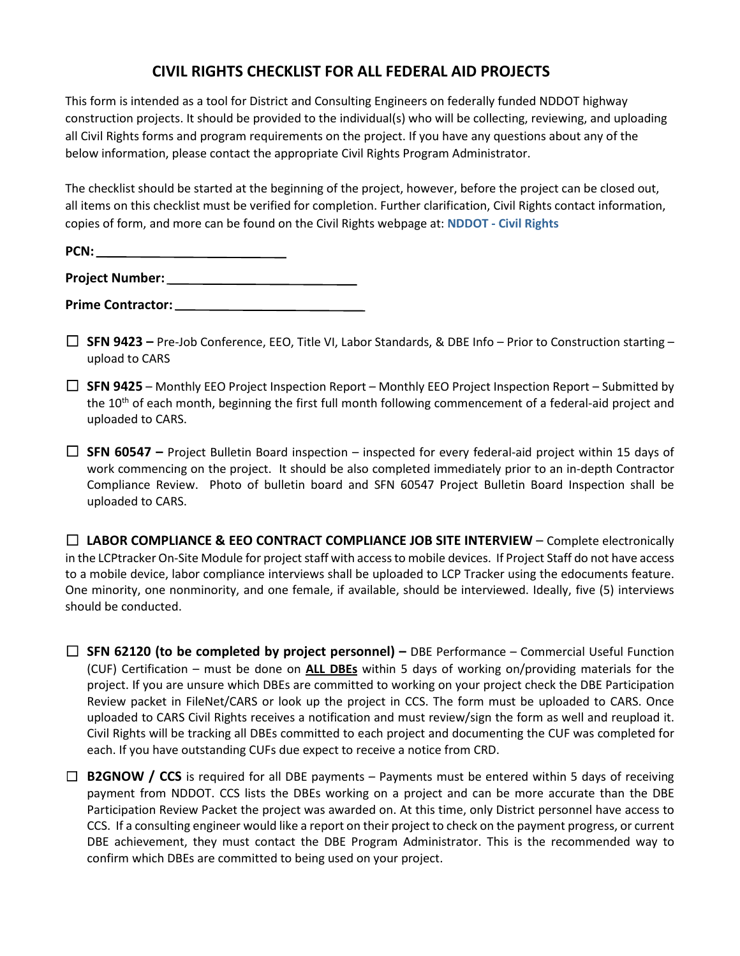## **CIVIL RIGHTS CHECKLIST FOR ALL FEDERAL AID PROJECTS**

This form is intended as a tool for District and Consulting Engineers on federally funded NDDOT highway construction projects. It should be provided to the individual(s) who will be collecting, reviewing, and uploading all Civil Rights forms and program requirements on the project. If you have any questions about any of the below information, please contact the appropriate Civil Rights Program Administrator.

The checklist should be started at the beginning of the project, however, before the project can be closed out, all items on this checklist must be verified for completion. Further clarification, Civil Rights contact information, copies of form, and more can be found on the Civil Rights webpage at: **NDDOT - [Civil Rights](https://www.dot.nd.gov/divisions/civilrights/civilrights.htm#program-areas)**

| PCN:                   |  |
|------------------------|--|
| <b>Project Number:</b> |  |

**Prime Contractor:**

- ☐ **SFN 9423 –** Pre-Job Conference, EEO, Title VI, Labor Standards, & DBE Info Prior to Construction starting upload to CARS
- ☐ **SFN 9425** Monthly EEO Project Inspection Report Monthly EEO Project Inspection Report Submitted by the 10<sup>th</sup> of each month, beginning the first full month following commencement of a federal-aid project and uploaded to CARS.
- ☐ **SFN 60547 –** Project Bulletin Board inspection inspected for every federal-aid project within 15 days of work commencing on the project. It should be also completed immediately prior to an in-depth Contractor Compliance Review. Photo of bulletin board and SFN 60547 Project Bulletin Board Inspection shall be uploaded to CARS.

☐ **LABOR COMPLIANCE & EEO CONTRACT COMPLIANCE JOB SITE INTERVIEW** – Complete electronically in the LCPtracker On-Site Module for project staff with access to mobile devices. If Project Staff do not have access to a mobile device, labor compliance interviews shall be uploaded to LCP Tracker using the edocuments feature. One minority, one nonminority, and one female, if available, should be interviewed. Ideally, five (5) interviews should be conducted.

☐ **SFN 62120 (to be completed by project personnel) –** DBE Performance – Commercial Useful Function (CUF) Certification – must be done on **ALL DBEs** within 5 days of working on/providing materials for the project. If you are unsure which DBEs are committed to working on your project check the DBE Participation Review packet in FileNet/CARS or look up the project in CCS. The form must be uploaded to CARS. Once uploaded to CARS Civil Rights receives a notification and must review/sign the form as well and reupload it. Civil Rights will be tracking all DBEs committed to each project and documenting the CUF was completed for each. If you have outstanding CUFs due expect to receive a notice from CRD.

□ **B2GNOW / CCS** is required for all DBE payments – Payments must be entered within 5 days of receiving payment from NDDOT. CCS lists the DBEs working on a project and can be more accurate than the DBE Participation Review Packet the project was awarded on. At this time, only District personnel have access to CCS. If a consulting engineer would like a report on their project to check on the payment progress, or current DBE achievement, they must contact the DBE Program Administrator. This is the recommended way to confirm which DBEs are committed to being used on your project.